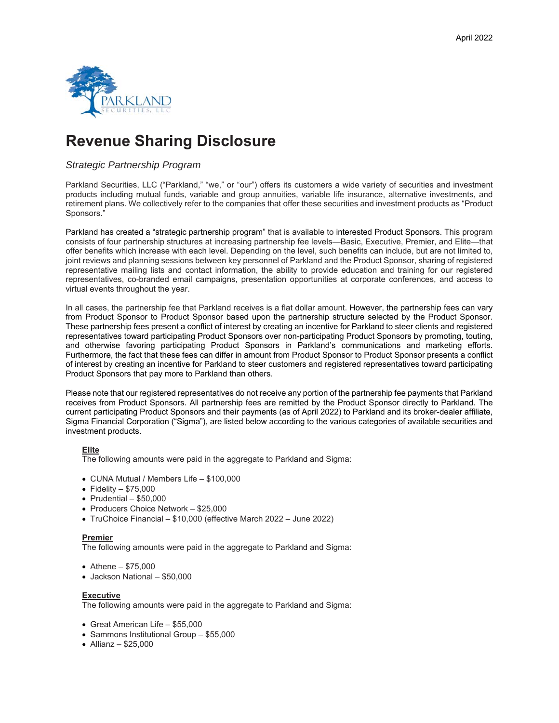

# **Revenue Sharing Disclosure**

## *Strategic Partnership Program*

Parkland Securities, LLC ("Parkland," "we," or "our") offers its customers a wide variety of securities and investment products including mutual funds, variable and group annuities, variable life insurance, alternative investments, and retirement plans. We collectively refer to the companies that offer these securities and investment products as "Product Sponsors."

Parkland has created a "strategic partnership program" that is available to interested Product Sponsors. This program consists of four partnership structures at increasing partnership fee levels—Basic, Executive, Premier, and Elite—that offer benefits which increase with each level. Depending on the level, such benefits can include, but are not limited to, joint reviews and planning sessions between key personnel of Parkland and the Product Sponsor, sharing of registered representative mailing lists and contact information, the ability to provide education and training for our registered representatives, co-branded email campaigns, presentation opportunities at corporate conferences, and access to virtual events throughout the year.

In all cases, the partnership fee that Parkland receives is a flat dollar amount. However, the partnership fees can vary from Product Sponsor to Product Sponsor based upon the partnership structure selected by the Product Sponsor. These partnership fees present a conflict of interest by creating an incentive for Parkland to steer clients and registered representatives toward participating Product Sponsors over non-participating Product Sponsors by promoting, touting, and otherwise favoring participating Product Sponsors in Parkland's communications and marketing efforts. Furthermore, the fact that these fees can differ in amount from Product Sponsor to Product Sponsor presents a conflict of interest by creating an incentive for Parkland to steer customers and registered representatives toward participating Product Sponsors that pay more to Parkland than others.

Please note that our registered representatives do not receive any portion of the partnership fee payments that Parkland receives from Product Sponsors. All partnership fees are remitted by the Product Sponsor directly to Parkland. The current participating Product Sponsors and their payments (as of April 2022) to Parkland and its broker-dealer affiliate, Sigma Financial Corporation ("Sigma"), are listed below according to the various categories of available securities and investment products.

### **Elite**

The following amounts were paid in the aggregate to Parkland and Sigma:

- CUNA Mutual / Members Life \$100,000
- $\bullet$  Fidelity \$75,000
- $\bullet$  Prudential \$50,000
- Producers Choice Network \$25,000
- TruChoice Financial \$10,000 (effective March 2022 June 2022)

### **Premier**

The following amounts were paid in the aggregate to Parkland and Sigma:

- $\bullet$  Athene \$75,000
- Jackson National \$50,000

#### **Executive**

The following amounts were paid in the aggregate to Parkland and Sigma:

- Great American Life \$55,000
- Sammons Institutional Group \$55,000
- $\bullet$  Allianz \$25,000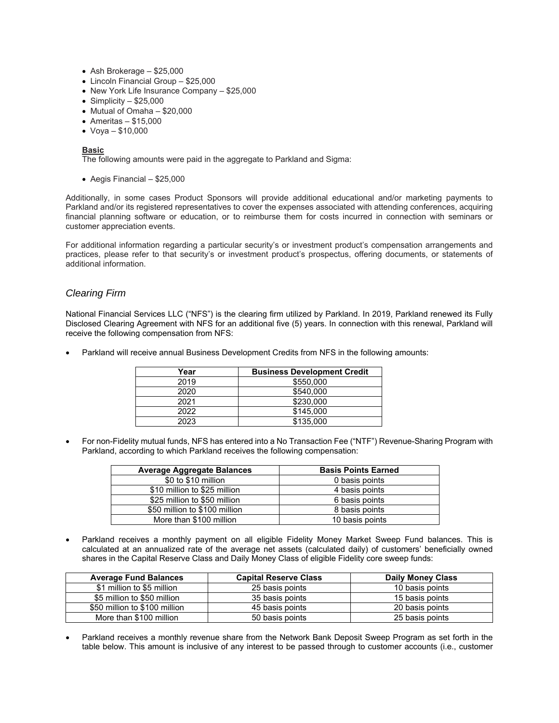- Ash Brokerage \$25,000
- Lincoln Financial Group \$25,000
- New York Life Insurance Company \$25,000
- $\bullet$  Simplicity \$25,000
- Mutual of Omaha \$20,000
- $\bullet$  Ameritas \$15,000
- Voya \$10,000

#### **Basic**

The following amounts were paid in the aggregate to Parkland and Sigma:

 $\bullet$  Aegis Financial – \$25,000

Additionally, in some cases Product Sponsors will provide additional educational and/or marketing payments to Parkland and/or its registered representatives to cover the expenses associated with attending conferences, acquiring financial planning software or education, or to reimburse them for costs incurred in connection with seminars or customer appreciation events.

For additional information regarding a particular security's or investment product's compensation arrangements and practices, please refer to that security's or investment product's prospectus, offering documents, or statements of additional information.

## *Clearing Firm*

National Financial Services LLC ("NFS") is the clearing firm utilized by Parkland. In 2019, Parkland renewed its Fully Disclosed Clearing Agreement with NFS for an additional five (5) years. In connection with this renewal, Parkland will receive the following compensation from NFS:

Parkland will receive annual Business Development Credits from NFS in the following amounts:

| Year | <b>Business Development Credit</b> |
|------|------------------------------------|
| 2019 | \$550,000                          |
| 2020 | \$540,000                          |
| 2021 | \$230,000                          |
| 2022 | \$145,000                          |
| 2023 | \$135,000                          |

 For non-Fidelity mutual funds, NFS has entered into a No Transaction Fee ("NTF") Revenue-Sharing Program with Parkland, according to which Parkland receives the following compensation:

| <b>Average Aggregate Balances</b> | <b>Basis Points Earned</b> |
|-----------------------------------|----------------------------|
| \$0 to \$10 million               | 0 basis points             |
| \$10 million to \$25 million      | 4 basis points             |
| \$25 million to \$50 million      | 6 basis points             |
| \$50 million to \$100 million     | 8 basis points             |
| More than \$100 million           | 10 basis points            |

 Parkland receives a monthly payment on all eligible Fidelity Money Market Sweep Fund balances. This is calculated at an annualized rate of the average net assets (calculated daily) of customers' beneficially owned shares in the Capital Reserve Class and Daily Money Class of eligible Fidelity core sweep funds:

| <b>Average Fund Balances</b>  | <b>Capital Reserve Class</b> | <b>Daily Money Class</b> |
|-------------------------------|------------------------------|--------------------------|
| \$1 million to \$5 million    | 25 basis points              | 10 basis points          |
| \$5 million to \$50 million   | 35 basis points              | 15 basis points          |
| \$50 million to \$100 million | 45 basis points              | 20 basis points          |
| More than \$100 million       | 50 basis points              | 25 basis points          |

 Parkland receives a monthly revenue share from the Network Bank Deposit Sweep Program as set forth in the table below. This amount is inclusive of any interest to be passed through to customer accounts (i.e., customer